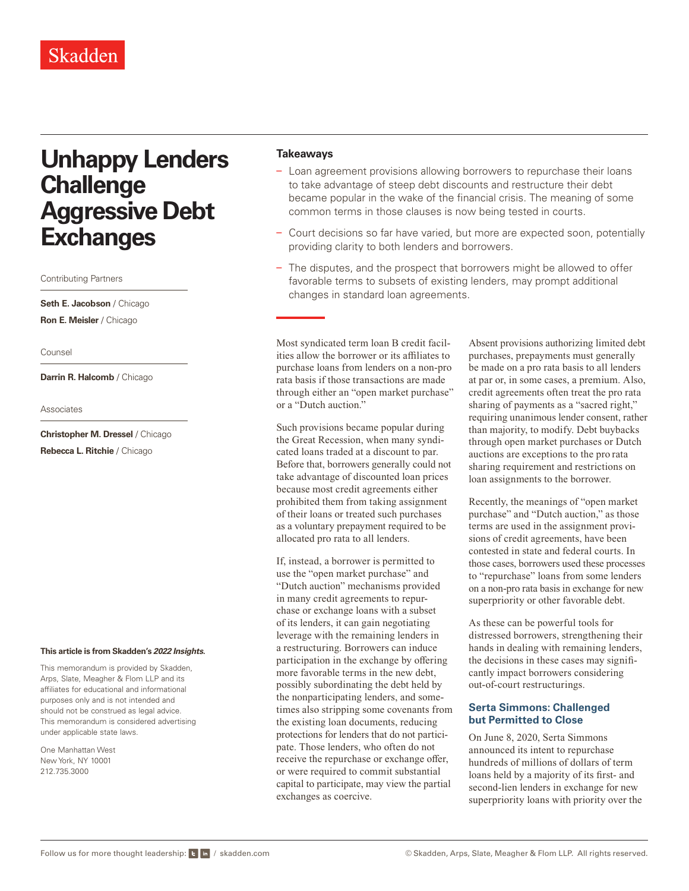# **Unhappy Lenders Challenge Aggressive Debt Exchanges**

Contributing Partners

**Seth E. Jacobson** / Chicago **Ron E. Meisler** / Chicago

Counsel

**Darrin R. Halcomb** / Chicago

Associates

**Christopher M. Dressel** / Chicago **Rebecca L. Ritchie** / Chicago

#### **This article is from Skadden's** *[2022 Insights](https://www.skadden.com/insights/publications/2022/01/2022-insights/2022-insights)***.**

This memorandum is provided by Skadden, Arps, Slate, Meagher & Flom LLP and its affiliates for educational and informational purposes only and is not intended and should not be construed as legal advice. This memorandum is considered advertising under applicable state laws.

One Manhattan West New York, NY 10001 212.735.3000

### **Takeaways**

- Loan agreement provisions allowing borrowers to repurchase their loans to take advantage of steep debt discounts and restructure their debt became popular in the wake of the financial crisis. The meaning of some common terms in those clauses is now being tested in courts.
- Court decisions so far have varied, but more are expected soon, potentially providing clarity to both lenders and borrowers.
- The disputes, and the prospect that borrowers might be allowed to offer favorable terms to subsets of existing lenders, may prompt additional changes in standard loan agreements.

Most syndicated term loan B credit facilities allow the borrower or its affiliates to purchase loans from lenders on a non-pro rata basis if those transactions are made through either an "open market purchase" or a "Dutch auction."

Such provisions became popular during the Great Recession, when many syndicated loans traded at a discount to par. Before that, borrowers generally could not take advantage of discounted loan prices because most credit agreements either prohibited them from taking assignment of their loans or treated such purchases as a voluntary prepayment required to be allocated pro rata to all lenders.

If, instead, a borrower is permitted to use the "open market purchase" and "Dutch auction" mechanisms provided in many credit agreements to repurchase or exchange loans with a subset of its lenders, it can gain negotiating leverage with the remaining lenders in a restructuring. Borrowers can induce participation in the exchange by offering more favorable terms in the new debt, possibly subordinating the debt held by the nonparticipating lenders, and sometimes also stripping some covenants from the existing loan documents, reducing protections for lenders that do not participate. Those lenders, who often do not receive the repurchase or exchange offer, or were required to commit substantial capital to participate, may view the partial exchanges as coercive.

Absent provisions authorizing limited debt purchases, prepayments must generally be made on a pro rata basis to all lenders at par or, in some cases, a premium. Also, credit agreements often treat the pro rata sharing of payments as a "sacred right," requiring unanimous lender consent, rather than majority, to modify. Debt buybacks through open market purchases or Dutch auctions are exceptions to the pro rata sharing requirement and restrictions on loan assignments to the borrower.

Recently, the meanings of "open market purchase" and "Dutch auction," as those terms are used in the assignment provisions of credit agreements, have been contested in state and federal courts. In those cases, borrowers used these processes to "repurchase" loans from some lenders on a non-pro rata basis in exchange for new superpriority or other favorable debt.

As these can be powerful tools for distressed borrowers, strengthening their hands in dealing with remaining lenders, the decisions in these cases may significantly impact borrowers considering out-of-court restructurings.

#### **Serta Simmons: Challenged but Permitted to Close**

On June 8, 2020, Serta Simmons announced its intent to repurchase hundreds of millions of dollars of term loans held by a majority of its first- and second-lien lenders in exchange for new superpriority loans with priority over the